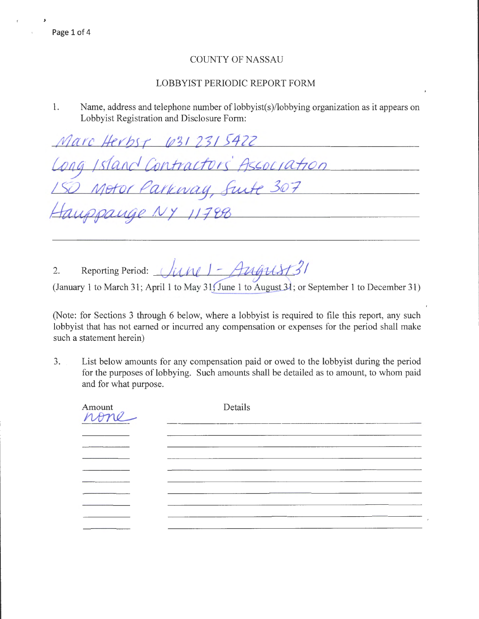## LOBBYIST PERIODIC REPORT FORM

1. Name, address and telephone number of lobbyist(s)/lobbying organization as it appears on Lobbyist Registration and Disclosure Form:

way, Suite 307

contractors Association

Marc Herbst (031 231 5422

2. Reporting Period: *JUNE | - AUGUST 31* 

(January 1 to March 31; April 1 to May 31; June 1 to August 31; or September 1 to December 31)

(Note: for Sections 3 through 6 below, where a lobbyist is required to file this report, any such lobbyist that has not earned or incurred any compensation or expenses for the period shall make such a statement herein)

3. List below amounts for any compensation paid or owed to the lobbyist during the period for the purposes of lobbying. Such amounts shall be detailed as to amount, to whom paid and for what purpose.

| Amount<br>None | Details |  |  |
|----------------|---------|--|--|
|                |         |  |  |
|                |         |  |  |
|                |         |  |  |
|                |         |  |  |
|                |         |  |  |
|                |         |  |  |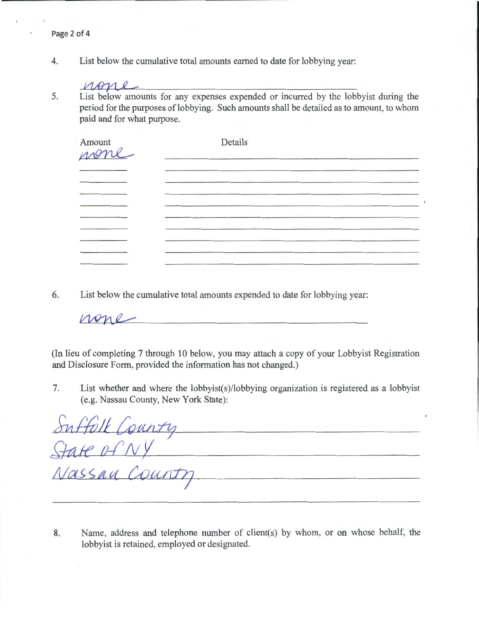4. List below the cumulative total amounts earned to date for lobbying year:

## none

5. List below amounts for any expenses expended or incurred by the lobbyist during the period for the purposes of lobbying. Such amounts shall be detailed as to amount, to whom

| Amount<br>wone | Details                                                                    |  |
|----------------|----------------------------------------------------------------------------|--|
|                | the control of the control of the control of the control of the control of |  |
|                |                                                                            |  |
|                |                                                                            |  |
|                |                                                                            |  |
|                |                                                                            |  |
|                |                                                                            |  |
|                |                                                                            |  |
|                |                                                                            |  |

6. List below the cumulative total amounts expended to date for lobbying year:

none

(In lieu of completing 7 through 10 below, you may attach a copy of your Lobbyist Registration and Disclosure Form, provided the information has not changed.)

7. List whether and where the lobbyist(s)/lobbying organization is registered as a lobbyist (e.g. Nassau County, New York State):

| Suffolk County |  |
|----------------|--|
|                |  |
| Nassau County  |  |
|                |  |

8. Name, address and telephone number of client(s) by whom, or on whose behalf, the lobbyist is retained, employed or designated.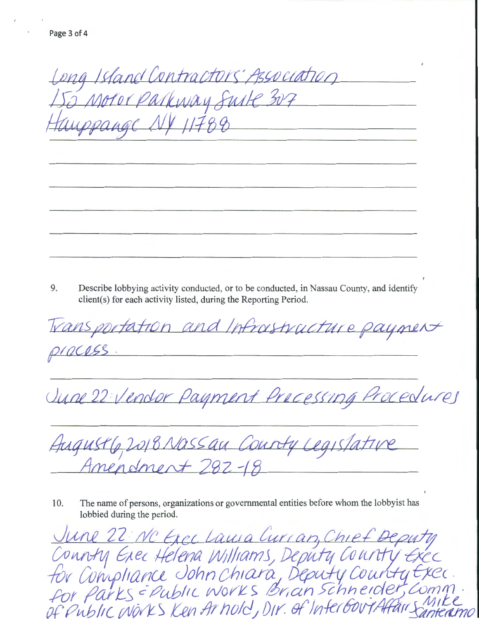Long Island Contractors' Association 2 Motor Parkway Suite 307 Wppange NY 11788

9. Describe lobbying activity conducted, or to be conducted, in Nassau County, and identify client(s) for each activity listed, during the Reporting Period.

Transportation and Infrastructure payment pracess

June 22 Vender Payment Precessing Procedures

August 6, 2018 Nassau County Legislative Amendment 782-18

The name of persons, organizations or governmental entities before whom the lobbyist has 10. lobbied during the period.

<u>June 22: NC Exectains Curran, Chief Deputy</u><br>Connty Exected Milliams, Deputy County Exector<br>for Compliance John Chiara, Deputy County Exection<br>for Parks = Public Works Brian Schneider, Comm<br>of Public MONS Ken Arhold, Dir.